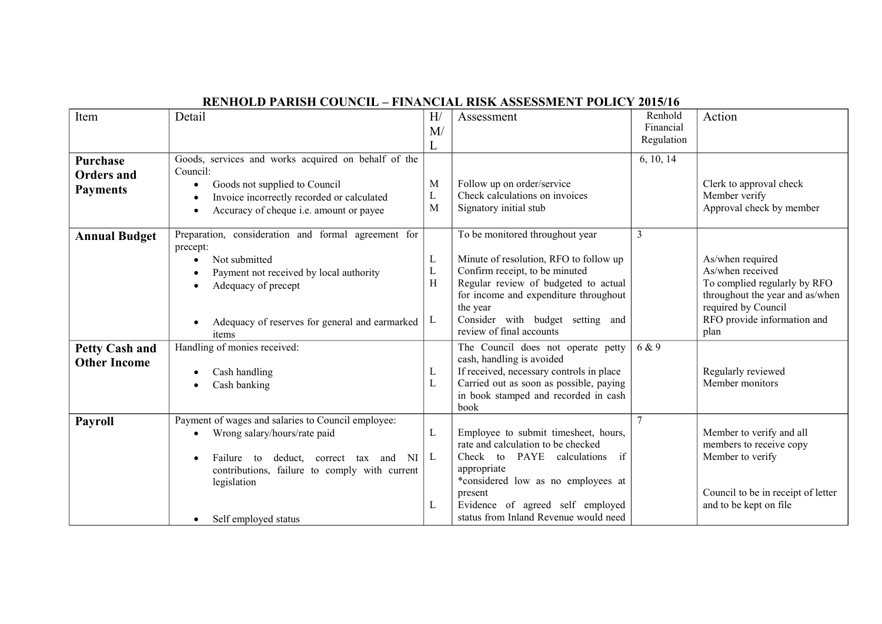| Item                                             | Detail                                                                                                                                                                                                                              | H/<br>M/<br>L    | Assessment                                                                                                                                                                                                                                                               | Renhold<br>Financial<br>Regulation | Action                                                                                                                                                                |
|--------------------------------------------------|-------------------------------------------------------------------------------------------------------------------------------------------------------------------------------------------------------------------------------------|------------------|--------------------------------------------------------------------------------------------------------------------------------------------------------------------------------------------------------------------------------------------------------------------------|------------------------------------|-----------------------------------------------------------------------------------------------------------------------------------------------------------------------|
| Purchase<br><b>Orders and</b><br><b>Payments</b> | Goods, services and works acquired on behalf of the<br>Council:<br>Goods not supplied to Council<br>$\bullet$<br>Invoice incorrectly recorded or calculated<br>Accuracy of cheque i.e. amount or payee<br>٠                         | M<br>L<br>M      | Follow up on order/service<br>Check calculations on invoices<br>Signatory initial stub                                                                                                                                                                                   | 6, 10, 14                          | Clerk to approval check<br>Member verify<br>Approval check by member                                                                                                  |
| <b>Annual Budget</b>                             | Preparation, consideration and formal agreement for<br>precept:<br>Not submitted<br>Payment not received by local authority<br>Adequacy of precept<br>Adequacy of reserves for general and earmarked<br>items                       | L<br>L<br>Н<br>L | To be monitored throughout year<br>Minute of resolution, RFO to follow up<br>Confirm receipt, to be minuted<br>Regular review of budgeted to actual<br>for income and expenditure throughout<br>the year<br>Consider with budget setting and<br>review of final accounts | 3                                  | As/when required<br>As/when received<br>To complied regularly by RFO<br>throughout the year and as/when<br>required by Council<br>RFO provide information and<br>plan |
| <b>Petty Cash and</b><br><b>Other Income</b>     | Handling of monies received:<br>Cash handling<br>Cash banking                                                                                                                                                                       | L                | The Council does not operate petty<br>cash, handling is avoided<br>If received, necessary controls in place<br>Carried out as soon as possible, paying<br>in book stamped and recorded in cash<br>book                                                                   | 6 & 9                              | Regularly reviewed<br>Member monitors                                                                                                                                 |
| <b>Payroll</b>                                   | Payment of wages and salaries to Council employee:<br>Wrong salary/hours/rate paid<br>Failure to<br>deduct, correct tax and NI<br>contributions, failure to comply with current<br>legislation<br>Self employed status<br>$\bullet$ | L<br>L<br>L      | Employee to submit timesheet, hours,<br>rate and calculation to be checked<br>if<br>Check to PAYE calculations<br>appropriate<br>*considered low as no employees at<br>present<br>Evidence of agreed self employed<br>status from Inland Revenue would need              |                                    | Member to verify and all<br>members to receive copy<br>Member to verify<br>Council to be in receipt of letter<br>and to be kept on file                               |

## **RENHOLD PARISH COUNCIL – FINANCIAL RISK ASSESSMENT POLICY 2015/16**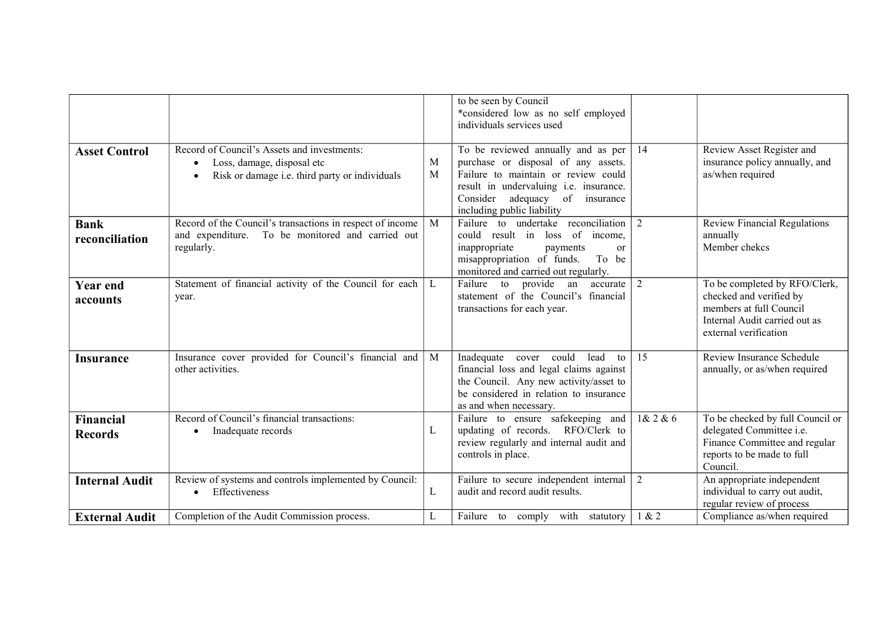|                               |                                                                                                                                                       |                   | to be seen by Council<br>*considered low as no self employed<br>individuals services used                                                                                                                                     |                |                                                                                                                                               |
|-------------------------------|-------------------------------------------------------------------------------------------------------------------------------------------------------|-------------------|-------------------------------------------------------------------------------------------------------------------------------------------------------------------------------------------------------------------------------|----------------|-----------------------------------------------------------------------------------------------------------------------------------------------|
| <b>Asset Control</b>          | Record of Council's Assets and investments:<br>Loss, damage, disposal etc<br>$\bullet$<br>Risk or damage i.e. third party or individuals<br>$\bullet$ | М<br>$\mathbf{M}$ | To be reviewed annually and as per<br>purchase or disposal of any assets.<br>Failure to maintain or review could<br>result in undervaluing i.e. insurance.<br>Consider<br>adequacy of insurance<br>including public liability | 14             | Review Asset Register and<br>insurance policy annually, and<br>as/when required                                                               |
| <b>Bank</b><br>reconciliation | Record of the Council's transactions in respect of income<br>and expenditure. To be monitored and carried out<br>regularly.                           | M                 | Failure to undertake reconciliation<br>could result in loss of income,<br>inappropriate<br>payments<br>or<br>misappropriation of funds.<br>To be<br>monitored and carried out regularly.                                      | 2              | Review Financial Regulations<br>annually<br>Member chekcs                                                                                     |
| <b>Year end</b><br>accounts   | Statement of financial activity of the Council for each<br>year.                                                                                      | L                 | Failure to provide an<br>accurate<br>statement of the Council's financial<br>transactions for each year.                                                                                                                      | $\overline{2}$ | To be completed by RFO/Clerk,<br>checked and verified by<br>members at full Council<br>Internal Audit carried out as<br>external verification |
| <b>Insurance</b>              | Insurance cover provided for Council's financial and<br>other activities.                                                                             | M                 | cover could<br>Inadequate<br>lead<br>to<br>financial loss and legal claims against<br>the Council. Any new activity/asset to<br>be considered in relation to insurance<br>as and when necessary.                              | 15             | Review Insurance Schedule<br>annually, or as/when required                                                                                    |
| Financial<br><b>Records</b>   | Record of Council's financial transactions:<br>Inadequate records<br>٠                                                                                | L                 | Failure to ensure safekeeping and<br>updating of records. RFO/Clerk to<br>review regularly and internal audit and<br>controls in place.                                                                                       | 1& 2 & 6       | To be checked by full Council or<br>delegated Committee i.e.<br>Finance Committee and regular<br>reports to be made to full<br>Council.       |
| <b>Internal Audit</b>         | Review of systems and controls implemented by Council:<br>• Effectiveness                                                                             | L                 | Failure to secure independent internal 2<br>audit and record audit results.                                                                                                                                                   |                | An appropriate independent<br>individual to carry out audit,<br>regular review of process                                                     |
| <b>External Audit</b>         | Completion of the Audit Commission process.                                                                                                           | L                 | Failure to comply with statutory                                                                                                                                                                                              | 1 & 2          | Compliance as/when required                                                                                                                   |